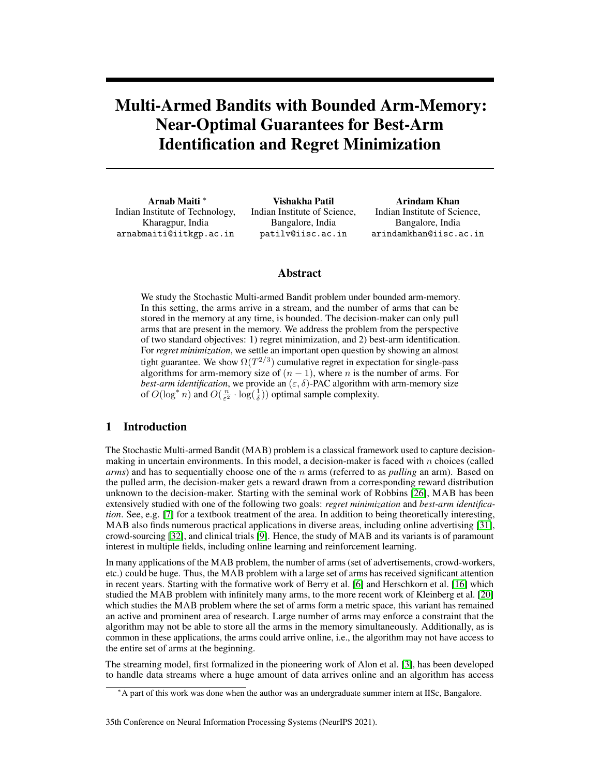# Multi-Armed Bandits with Bounded Arm-Memory: Near-Optimal Guarantees for Best-Arm Identification and Regret Minimization

Arnab Maiti <sup>∗</sup> Indian Institute of Technology, Kharagpur, India arnabmaiti@iitkgp.ac.in

Vishakha Patil Indian Institute of Science, Bangalore, India patilv@iisc.ac.in

Arindam Khan Indian Institute of Science, Bangalore, India arindamkhan@iisc.ac.in

## Abstract

We study the Stochastic Multi-armed Bandit problem under bounded arm-memory. In this setting, the arms arrive in a stream, and the number of arms that can be stored in the memory at any time, is bounded. The decision-maker can only pull arms that are present in the memory. We address the problem from the perspective of two standard objectives: 1) regret minimization, and 2) best-arm identification. For *regret minimization*, we settle an important open question by showing an almost tight guarantee. We show  $\Omega(T^{2/3})$  cumulative regret in expectation for single-pass algorithms for arm-memory size of  $(n - 1)$ , where *n* is the number of arms. For *best-arm identification*, we provide an  $(\varepsilon, \delta)$ -PAC algorithm with arm-memory size of  $O(\log^* n)$  and  $O(\frac{n}{\varepsilon^2} \cdot \log(\frac{1}{\delta}))$  optimal sample complexity.

# 1 Introduction

The Stochastic Multi-armed Bandit (MAB) problem is a classical framework used to capture decisionmaking in uncertain environments. In this model, a decision-maker is faced with  $n$  choices (called *arms*) and has to sequentially choose one of the n arms (referred to as *pulling* an arm). Based on the pulled arm, the decision-maker gets a reward drawn from a corresponding reward distribution unknown to the decision-maker. Starting with the seminal work of Robbins [\[26\]](#page-11-0), MAB has been extensively studied with one of the following two goals: *regret minimization* and *best-arm identification*. See, e.g. [\[7\]](#page-10-0) for a textbook treatment of the area. In addition to being theoretically interesting, MAB also finds numerous practical applications in diverse areas, including online advertising [\[31\]](#page-11-1), crowd-sourcing [\[32\]](#page-11-2), and clinical trials [\[9\]](#page-10-1). Hence, the study of MAB and its variants is of paramount interest in multiple fields, including online learning and reinforcement learning.

In many applications of the MAB problem, the number of arms (set of advertisements, crowd-workers, etc.) could be huge. Thus, the MAB problem with a large set of arms has received significant attention in recent years. Starting with the formative work of Berry et al. [\[6\]](#page-10-2) and Herschkorn et al. [\[16\]](#page-10-3) which studied the MAB problem with infinitely many arms, to the more recent work of Kleinberg et al. [\[20\]](#page-10-4) which studies the MAB problem where the set of arms form a metric space, this variant has remained an active and prominent area of research. Large number of arms may enforce a constraint that the algorithm may not be able to store all the arms in the memory simultaneously. Additionally, as is common in these applications, the arms could arrive online, i.e., the algorithm may not have access to the entire set of arms at the beginning.

The streaming model, first formalized in the pioneering work of Alon et al. [\[3\]](#page-10-5), has been developed to handle data streams where a huge amount of data arrives online and an algorithm has access

#### 35th Conference on Neural Information Processing Systems (NeurIPS 2021).

<sup>∗</sup>A part of this work was done when the author was an undergraduate summer intern at IISc, Bangalore.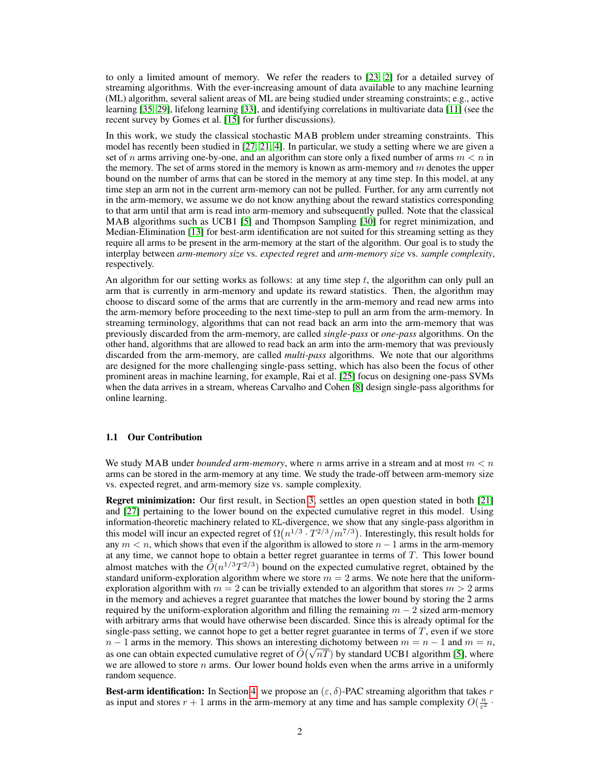to only a limited amount of memory. We refer the readers to [\[23,](#page-11-3) [2\]](#page-10-6) for a detailed survey of streaming algorithms. With the ever-increasing amount of data available to any machine learning (ML) algorithm, several salient areas of ML are being studied under streaming constraints; e.g., active learning [\[35,](#page-11-4) [29\]](#page-11-5), lifelong learning [\[33\]](#page-11-6), and identifying correlations in multivariate data [\[11\]](#page-10-7) (see the recent survey by Gomes et al. [\[15\]](#page-10-8) for further discussions).

In this work, we study the classical stochastic MAB problem under streaming constraints. This model has recently been studied in [\[27,](#page-11-7) [21,](#page-11-8) [4\]](#page-10-9). In particular, we study a setting where we are given a set of n arms arriving one-by-one, and an algorithm can store only a fixed number of arms  $m < n$  in the memory. The set of arms stored in the memory is known as arm-memory and  $m$  denotes the upper bound on the number of arms that can be stored in the memory at any time step. In this model, at any time step an arm not in the current arm-memory can not be pulled. Further, for any arm currently not in the arm-memory, we assume we do not know anything about the reward statistics corresponding to that arm until that arm is read into arm-memory and subsequently pulled. Note that the classical MAB algorithms such as UCB1 [\[5\]](#page-10-10) and Thompson Sampling [\[30\]](#page-11-9) for regret minimization, and Median-Elimination [\[13\]](#page-10-11) for best-arm identification are not suited for this streaming setting as they require all arms to be present in the arm-memory at the start of the algorithm. Our goal is to study the interplay between *arm-memory size* vs. *expected regret* and *arm-memory size* vs. *sample complexity*, respectively.

An algorithm for our setting works as follows: at any time step  $t$ , the algorithm can only pull an arm that is currently in arm-memory and update its reward statistics. Then, the algorithm may choose to discard some of the arms that are currently in the arm-memory and read new arms into the arm-memory before proceeding to the next time-step to pull an arm from the arm-memory. In streaming terminology, algorithms that can not read back an arm into the arm-memory that was previously discarded from the arm-memory, are called *single-pass* or *one-pass* algorithms. On the other hand, algorithms that are allowed to read back an arm into the arm-memory that was previously discarded from the arm-memory, are called *multi-pass* algorithms. We note that our algorithms are designed for the more challenging single-pass setting, which has also been the focus of other prominent areas in machine learning, for example, Rai et al. [\[25\]](#page-11-10) focus on designing one-pass SVMs when the data arrives in a stream, whereas Carvalho and Cohen [\[8\]](#page-10-12) design single-pass algorithms for online learning.

#### 1.1 Our Contribution

We study MAB under *bounded arm-memory*, where n arms arrive in a stream and at most  $m < n$ arms can be stored in the arm-memory at any time. We study the trade-off between arm-memory size vs. expected regret, and arm-memory size vs. sample complexity.

Regret minimization: Our first result, in Section [3,](#page-4-0) settles an open question stated in both [\[21\]](#page-11-8) and [\[27\]](#page-11-7) pertaining to the lower bound on the expected cumulative regret in this model. Using information-theoretic machinery related to KL-divergence, we show that any single-pass algorithm in this model will incur an expected regret of  $\Omega(n^{1/3} \cdot T^{2/3}/m^{7/3})$ . Interestingly, this result holds for any  $m < n$ , which shows that even if the algorithm is allowed to store  $n - 1$  arms in the arm-memory at any time, we cannot hope to obtain a better regret guarantee in terms of  $T$ . This lower bound almost matches with the  $\tilde{O}(n^{1/3}T^{2/3})$  bound on the expected cumulative regret, obtained by the standard uniform-exploration algorithm where we store  $m = 2$  arms. We note here that the uniformexploration algorithm with  $m = 2$  can be trivially extended to an algorithm that stores  $m > 2$  arms in the memory and achieves a regret guarantee that matches the lower bound by storing the 2 arms required by the uniform-exploration algorithm and filling the remaining  $m - 2$  sized arm-memory with arbitrary arms that would have otherwise been discarded. Since this is already optimal for the single-pass setting, we cannot hope to get a better regret guarantee in terms of  $T$ , even if we store  $n-1$  arms in the memory. This shows an interesting dichotomy between  $m = n - 1$  and  $m = n$ ,  $n-1$  arms in the memory. This shows an interesting dichotomy between  $m = n-1$  and  $m = n$ , as one can obtain expected cumulative regret of  $\tilde{O}(\sqrt{nT})$  by standard UCB1 algorithm [\[5\]](#page-10-10), where we are allowed to store n arms. Our lower bound holds even when the arms arrive in a uniformly random sequence.

**Best-arm identification:** In Section [4,](#page-6-0) we propose an  $(\varepsilon, \delta)$ -PAC streaming algorithm that takes r as input and stores  $r + 1$  arms in the arm-memory at any time and has sample complexity  $O(\frac{n}{\epsilon^2})$ .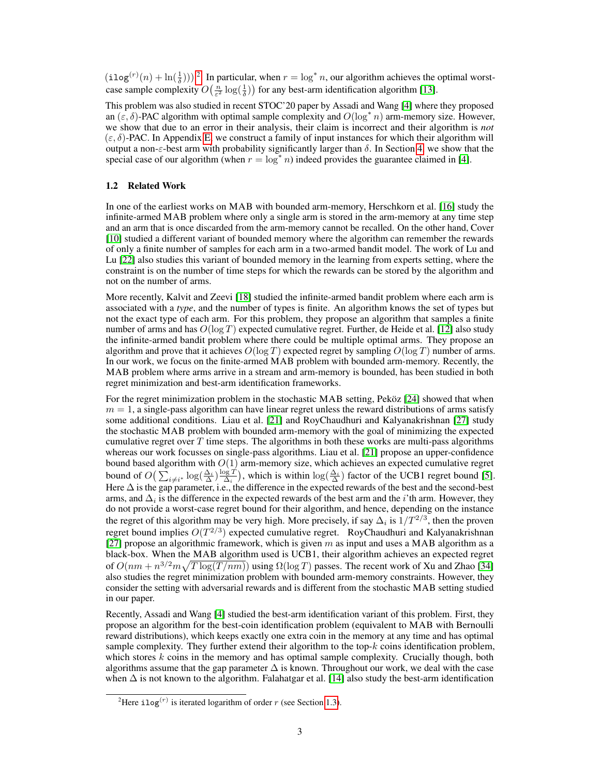$(\texttt{ilog}^{(r)}(n) + \ln(\frac{1}{\delta}))^2$  $(\texttt{ilog}^{(r)}(n) + \ln(\frac{1}{\delta}))^2$ . In particular, when  $r = \log^* n$ , our algorithm achieves the optimal worstcase sample complexity  $O\left(\frac{n}{\varepsilon^2} \log\left(\frac{1}{\delta}\right)\right)$  for any best-arm identification algorithm [\[13\]](#page-10-11).

This problem was also studied in recent STOC'20 paper by Assadi and Wang [\[4\]](#page-10-9) where they proposed an  $(\varepsilon, \delta)$ -PAC algorithm with optimal sample complexity and  $O(\log^* n)$  arm-memory size. However, we show that due to an error in their analysis, their claim is incorrect and their algorithm is *not*  $(\varepsilon, \delta)$ -PAC. In Appendix E, we construct a family of input instances for which their algorithm will output a non- $\varepsilon$ -best arm with probability significantly larger than  $\delta$ . In Section [4,](#page-6-0) we show that the special case of our algorithm (when  $r = \log^* n$ ) indeed provides the guarantee claimed in [\[4\]](#page-10-9).

#### 1.2 Related Work

In one of the earliest works on MAB with bounded arm-memory, Herschkorn et al. [\[16\]](#page-10-3) study the infinite-armed MAB problem where only a single arm is stored in the arm-memory at any time step and an arm that is once discarded from the arm-memory cannot be recalled. On the other hand, Cover [\[10\]](#page-10-13) studied a different variant of bounded memory where the algorithm can remember the rewards of only a finite number of samples for each arm in a two-armed bandit model. The work of Lu and Lu [\[22\]](#page-11-11) also studies this variant of bounded memory in the learning from experts setting, where the constraint is on the number of time steps for which the rewards can be stored by the algorithm and not on the number of arms.

More recently, Kalvit and Zeevi [\[18\]](#page-10-14) studied the infinite-armed bandit problem where each arm is associated with a *type*, and the number of types is finite. An algorithm knows the set of types but not the exact type of each arm. For this problem, they propose an algorithm that samples a finite number of arms and has  $O(\log T)$  expected cumulative regret. Further, de Heide et al. [\[12\]](#page-10-15) also study the infinite-armed bandit problem where there could be multiple optimal arms. They propose an algorithm and prove that it achieves  $O(\log T)$  expected regret by sampling  $O(\log T)$  number of arms. In our work, we focus on the finite-armed MAB problem with bounded arm-memory. Recently, the MAB problem where arms arrive in a stream and arm-memory is bounded, has been studied in both regret minimization and best-arm identification frameworks.

For the regret minimization problem in the stochastic MAB setting, Peköz [\[24\]](#page-11-12) showed that when  $m = 1$ , a single-pass algorithm can have linear regret unless the reward distributions of arms satisfy some additional conditions. Liau et al. [\[21\]](#page-11-8) and RoyChaudhuri and Kalyanakrishnan [\[27\]](#page-11-7) study the stochastic MAB problem with bounded arm-memory with the goal of minimizing the expected cumulative regret over  $T$  time steps. The algorithms in both these works are multi-pass algorithms whereas our work focusses on single-pass algorithms. Liau et al. [\[21\]](#page-11-8) propose an upper-confidence bound based algorithm with  $O(1)$  arm-memory size, which achieves an expected cumulative regret bound of  $O\left(\sum_{i\neq i^*} \log(\frac{\Delta_i}{\Delta}) \frac{\log T}{\Delta_i}\right)$ , which is within  $\log(\frac{\Delta_i}{\Delta})$  factor of the UCB1 regret bound [\[5\]](#page-10-10). Here  $\Delta$  is the gap parameter, i.e., the difference in the expected rewards of the best and the second-best arms, and  $\Delta_i$  is the difference in the expected rewards of the best arm and the *i*'th arm. However, they do not provide a worst-case regret bound for their algorithm, and hence, depending on the instance the regret of this algorithm may be very high. More precisely, if say  $\Delta_i$  is  $1/T^{2/3}$ , then the proven regret bound implies  $O(T^{2/3})$  expected cumulative regret. RoyChaudhuri and Kalyanakrishnan [\[27\]](#page-11-7) propose an algorithmic framework, which is given  $m$  as input and uses a MAB algorithm as a black-box. When the MAB algorithm used is UCB1, their algorithm achieves an expected regret of  $O(nm + n^{3/2}m\sqrt{T \log(T/nm)})$  using  $\Omega(\log T)$  passes. The recent work of Xu and Zhao [\[34\]](#page-11-13) also studies the regret minimization problem with bounded arm-memory constraints. However, they consider the setting with adversarial rewards and is different from the stochastic MAB setting studied in our paper.

Recently, Assadi and Wang [\[4\]](#page-10-9) studied the best-arm identification variant of this problem. First, they propose an algorithm for the best-coin identification problem (equivalent to MAB with Bernoulli reward distributions), which keeps exactly one extra coin in the memory at any time and has optimal sample complexity. They further extend their algorithm to the top- $k$  coins identification problem, which stores  $k$  coins in the memory and has optimal sample complexity. Crucially though, both algorithms assume that the gap parameter  $\Delta$  is known. Throughout our work, we deal with the case when  $\Delta$  is not known to the algorithm. Falahatgar et al. [\[14\]](#page-10-16) also study the best-arm identification

<span id="page-2-0"></span><sup>&</sup>lt;sup>2</sup>Here ilog<sup>(r)</sup> is iterated logarithm of order r (see Section [1.3\)](#page-3-0).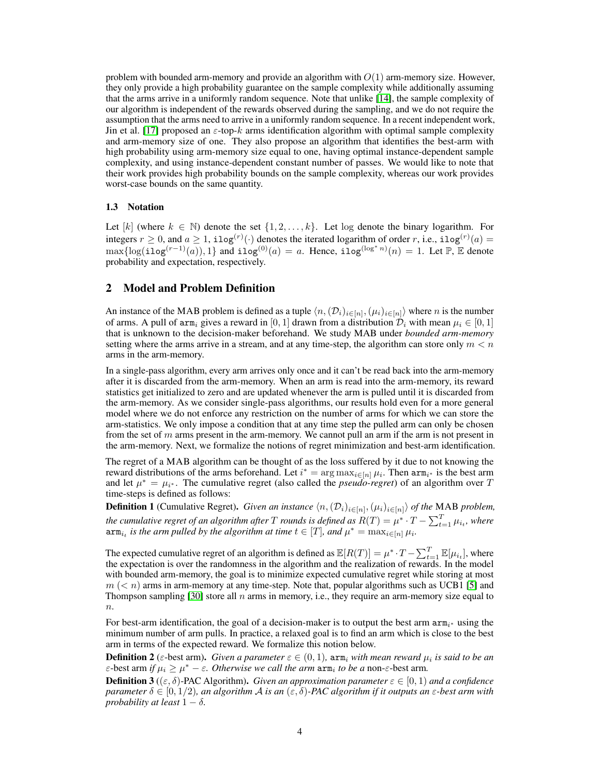problem with bounded arm-memory and provide an algorithm with  $O(1)$  arm-memory size. However, they only provide a high probability guarantee on the sample complexity while additionally assuming that the arms arrive in a uniformly random sequence. Note that unlike [\[14\]](#page-10-16), the sample complexity of our algorithm is independent of the rewards observed during the sampling, and we do not require the assumption that the arms need to arrive in a uniformly random sequence. In a recent independent work, Jin et al. [\[17\]](#page-10-17) proposed an  $\varepsilon$ -top-k arms identification algorithm with optimal sample complexity and arm-memory size of one. They also propose an algorithm that identifies the best-arm with high probability using arm-memory size equal to one, having optimal instance-dependent sample complexity, and using instance-dependent constant number of passes. We would like to note that their work provides high probability bounds on the sample complexity, whereas our work provides worst-case bounds on the same quantity.

#### <span id="page-3-0"></span>1.3 Notation

Let  $[k]$  (where  $k \in \mathbb{N}$ ) denote the set  $\{1, 2, \ldots, k\}$ . Let log denote the binary logarithm. For integers  $r \geq 0$ , and  $a \geq 1$ , ilog<sup>(r)</sup>(·) denotes the iterated logarithm of order r, i.e., ilog<sup>(r)</sup>(a) =  $\max\{\log(i\log^{(r-1)}(a)),1\}$  and  $i\log^{(0)}(a) = a$ . Hence,  $i\log^{(\log^* n)}(n) = 1$ . Let  $\mathbb{P}, \mathbb{E}$  denote probability and expectation, respectively.

### 2 Model and Problem Definition

An instance of the MAB problem is defined as a tuple  $\langle n,(D_i)_{i\in[n]},(\mu_i)_{i\in[n]}\rangle$  where n is the number of arms. A pull of arm<sub>i</sub> gives a reward in [0, 1] drawn from a distribution  $\mathcal{D}_i$  with mean  $\mu_i \in [0, 1]$ that is unknown to the decision-maker beforehand. We study MAB under *bounded arm-memory* setting where the arms arrive in a stream, and at any time-step, the algorithm can store only  $m < n$ arms in the arm-memory.

In a single-pass algorithm, every arm arrives only once and it can't be read back into the arm-memory after it is discarded from the arm-memory. When an arm is read into the arm-memory, its reward statistics get initialized to zero and are updated whenever the arm is pulled until it is discarded from the arm-memory. As we consider single-pass algorithms, our results hold even for a more general model where we do not enforce any restriction on the number of arms for which we can store the arm-statistics. We only impose a condition that at any time step the pulled arm can only be chosen from the set of  $m$  arms present in the arm-memory. We cannot pull an arm if the arm is not present in the arm-memory. Next, we formalize the notions of regret minimization and best-arm identification.

The regret of a MAB algorithm can be thought of as the loss suffered by it due to not knowing the reward distributions of the arms beforehand. Let  $i^* = \arg \max_{i \in [n]} \mu_i$ . Then  $\arg \max_{i^*}$  is the best arm and let  $\mu^* = \mu_{i^*}$ . The cumulative regret (also called the *pseudo-regret*) of an algorithm over T time-steps is defined as follows:

**Definition 1** (Cumulative Regret). *Given an instance*  $\langle n, (\mathcal{D}_i)_{i \in [n]}, (\mu_i)_{i \in [n]} \rangle$  *of the* MAB *problem*, *the cumulative regret of an algorithm after*  $T$  *rounds is defined as*  $R(T) = \mu^* \cdot T - \sum_{t=1}^T \mu_{i_t}$ *, where*  $\texttt{arm}_{i_t}$  is the arm pulled by the algorithm at time  $t \in [T]$ , and  $\mu^* = \max_{i \in [n]} \mu_i$ .

The expected cumulative regret of an algorithm is defined as  $\mathbb{E}[R(T)] = \mu^* \cdot T - \sum_{t=1}^T \mathbb{E}[\mu_{i_t}]$ , where the expectation is over the randomness in the algorithm and the realization of rewards. In the model with bounded arm-memory, the goal is to minimize expected cumulative regret while storing at most  $m$  ( $\lt n$ ) arms in arm-memory at any time-step. Note that, popular algorithms such as UCB1 [\[5\]](#page-10-10) and Thompson sampling  $[30]$  store all n arms in memory, i.e., they require an arm-memory size equal to  $\overline{n}$ .

For best-arm identification, the goal of a decision-maker is to output the best arm  $\text{arm}_{i^*}$  using the minimum number of arm pulls. In practice, a relaxed goal is to find an arm which is close to the best arm in terms of the expected reward. We formalize this notion below.

**Definition 2** ( $\varepsilon$ -best arm). *Given a parameter*  $\varepsilon \in (0,1)$ ,  $\text{arm}_i$  with mean reward  $\mu_i$  is said to be an  $\varepsilon$ -best arm *if*  $\mu_i \geq \mu^* - \varepsilon$ . Otherwise we call the arm  $\lim_i$  to be a non- $\varepsilon$ -best arm.

**Definition 3** (( $\varepsilon$ ,  $\delta$ )-PAC Algorithm). *Given an approximation parameter*  $\varepsilon \in [0,1)$  *and a confidence parameter*  $\delta \in [0, 1/2)$ *, an algorithm A is an*  $(\epsilon, \delta)$ *-PAC algorithm if it outputs an*  $\epsilon$ *-best arm with probability at least*  $1 - \delta$ *.*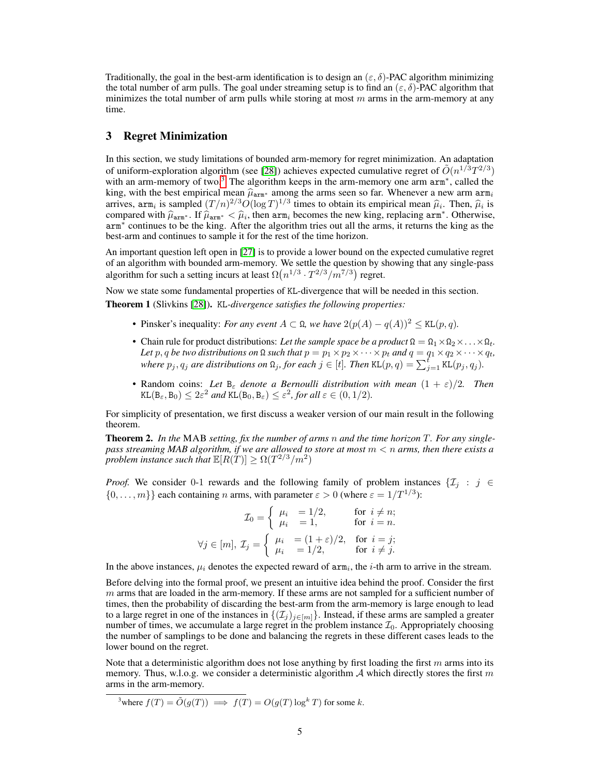Traditionally, the goal in the best-arm identification is to design an  $(\varepsilon, \delta)$ -PAC algorithm minimizing the total number of arm pulls. The goal under streaming setup is to find an  $(\varepsilon, \delta)$ -PAC algorithm that minimizes the total number of arm pulls while storing at most  $m$  arms in the arm-memory at any time.

### <span id="page-4-0"></span>3 Regret Minimization

In this section, we study limitations of bounded arm-memory for regret minimization. An adaptation of uniform-exploration algorithm (see [\[28\]](#page-11-14)) achieves expected cumulative regret of  $\tilde{O}(n^{1/3}T^{2/3})$ with an arm-memory of two.<sup>[3](#page-4-1)</sup> The algorithm keeps in the arm-memory one arm arm<sup>∗</sup>, called the king, with the best empirical mean  $\hat{\mu}_{\text{arm}*}$  among the arms seen so far. Whenever a new arm  $\text{arm}_i$ arrives,  $\text{arm}_i$  is sampled  $(T/n)^{2/3}O(\log T)^{1/3}$  times to obtain its empirical mean  $\hat{\mu}_i$ . Then,  $\hat{\mu}_i$  is compared with  $\hat{\mu}_i \to \text{If } \hat{\mu}_i \to \infty$  then  $\text{arm}_i$  becomes the new king replacing  $\text{arm}_i^*$ . Otherwise compared with  $\hat{\mu}_{\text{arm}*}$ . If  $\hat{\mu}_{\text{arm}*} < \hat{\mu}_i$ , then  $\text{arm}_i$  becomes the new king, replacing  $\text{arm}^*$ . Otherwise,  $\text{arm}^*$  continues to be the king. After the algorithm tries out all the arms, it returns the king arm<sup>∗</sup> continues to be the king. After the algorithm tries out all the arms, it returns the king as the best-arm and continues to sample it for the rest of the time horizon.

An important question left open in [\[27\]](#page-11-7) is to provide a lower bound on the expected cumulative regret of an algorithm with bounded arm-memory. We settle the question by showing that any single-pass algorithm for such a setting incurs at least  $\Omega(n^{1/3} \cdot T^{2/3}/m^{7/3})$  regret.

Now we state some fundamental properties of KL-divergence that will be needed in this section.

<span id="page-4-2"></span>Theorem 1 (Slivkins [\[28\]](#page-11-14)). KL*-divergence satisfies the following properties:*

- Pinsker's inequality: *For any event*  $A \subset \Omega$ *, we have*  $2(p(A) q(A))^2 \leq \text{KL}(p, q)$ *.*
- Chain rule for product distributions: *Let the sample space be a product*  $\Omega = \Omega_1 \times \Omega_2 \times \ldots \times \Omega_t$ . *Let* p, q *be two distributions on*  $\Omega$  *such that*  $p = p_1 \times p_2 \times \cdots \times p_t$  *and*  $q = q_1 \times q_2 \times \cdots \times q_t$ *, where*  $p_j, q_j$  *are distributions on*  $\Omega_j$ *, for each*  $j \in [t]$ *. Then* KL $(p, q) = \sum_{j=1}^{\tilde{t}}$  KL $(p_j, q_j)$ *.*
- Random coins: Let  $B_{\varepsilon}$  denote a Bernoulli distribution with mean  $(1 + \varepsilon)/2$ . Then  $\text{KL}(\mathbf{B}_{\varepsilon}, \mathbf{B}_0) \leq 2\varepsilon^2$  and  $\text{KL}(\mathbf{B}_0, \mathbf{B}_{\varepsilon}) \leq \varepsilon^2$ , for all  $\varepsilon \in (0, 1/2)$ .

For simplicity of presentation, we first discuss a weaker version of our main result in the following theorem.

Theorem 2. *In the* MAB *setting, fix the number of arms* n *and the time horizon* T*. For any singlepass streaming MAB algorithm, if we are allowed to store at most* m < n *arms, then there exists a problem instance such that*  $\mathbb{E}[R(T)] \ge \Omega(T^{2/3}/m^2)$ 

*Proof.* We consider 0-1 rewards and the following family of problem instances  $\{\mathcal{I}_j : j \in \mathcal{I}_j\}$  $\{0, \ldots, m\}$  each containing n arms, with parameter  $\varepsilon > 0$  (where  $\varepsilon = 1/T^{1/3}$ ):

$$
\mathcal{I}_0 = \begin{cases} \mu_i &= 1/2, \\ \mu_i &= 1, \end{cases} \quad \text{for } i \neq n; \\
\forall j \in [m], \ \mathcal{I}_j = \begin{cases} \mu_i &= (1 + \varepsilon)/2, \\ \mu_i &= 1/2, \end{cases} \quad \text{for } i = j; \\
\text{for } i \neq j.
$$

In the above instances,  $\mu_i$  denotes the expected reward of  $arm_i$ , the *i*-th arm to arrive in the stream.

Before delving into the formal proof, we present an intuitive idea behind the proof. Consider the first  $m$  arms that are loaded in the arm-memory. If these arms are not sampled for a sufficient number of times, then the probability of discarding the best-arm from the arm-memory is large enough to lead to a large regret in one of the instances in  $\{(\mathcal{I}_j)_{j\in[m]}\}\.$  Instead, if these arms are sampled a greater number of times, we accumulate a large regret in the problem instance  $\mathcal{I}_0$ . Appropriately choosing the number of samplings to be done and balancing the regrets in these different cases leads to the lower bound on the regret.

Note that a deterministic algorithm does not lose anything by first loading the first  $m$  arms into its memory. Thus, w.l.o.g. we consider a deterministic algorithm  $A$  which directly stores the first m arms in the arm-memory.

<span id="page-4-1"></span><sup>3</sup>where 
$$
f(T) = \tilde{O}(g(T)) \implies f(T) = O(g(T) \log^k T)
$$
 for some k.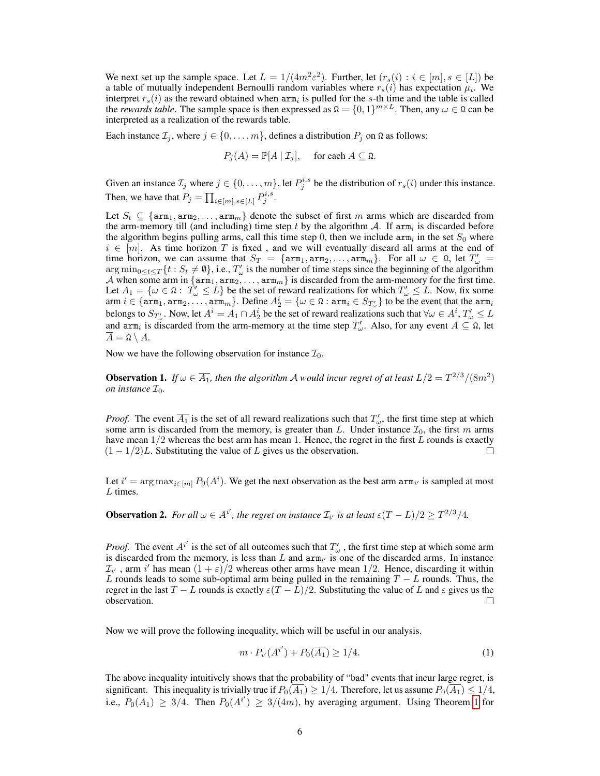We next set up the sample space. Let  $L = 1/(4m^2\varepsilon^2)$ . Further, let  $(r_s(i): i \in [m], s \in [L])$  be a table of mutually independent Bernoulli random variables where  $r_s(i)$  has expectation  $\mu_i$ . We interpret  $r_s(i)$  as the reward obtained when  $arm_i$  is pulled for the s-th time and the table is called the *rewards table*. The sample space is then expressed as  $\Omega = \{0, 1\}^{m \times L}$ . Then, any  $\omega \in \Omega$  can be interpreted as a realization of the rewards table.

Each instance  $\mathcal{I}_j$ , where  $j \in \{0, \ldots, m\}$ , defines a distribution  $P_j$  on  $\Omega$  as follows:

$$
P_j(A) = \mathbb{P}[A | \mathcal{I}_j], \quad \text{ for each } A \subseteq \Omega.
$$

Given an instance  $\mathcal{I}_j$  where  $j \in \{0, \ldots, m\}$ , let  $P_j^{i,s}$  be the distribution of  $r_s(i)$  under this instance. Then, we have that  $P_j = \prod_{i \in [m], s \in [L]} P_j^{i,s}$ .

Let  $S_t \subseteq \{arm_1, arm_2, \ldots, arm_m\}$  denote the subset of first m arms which are discarded from the arm-memory till (and including) time step t by the algorithm A. If  $arm<sub>i</sub>$  is discarded before the algorithm begins pulling arms, call this time step 0, then we include  $arm<sub>i</sub>$  in the set  $S<sub>0</sub>$  where  $i \in [m]$ . As time horizon T is fixed, and we will eventually discard all arms at the end of time horizon, we can assume that  $S_T = \{ \text{arm}_1, \text{arm}_2, \dots, \text{arm}_m \}$ . For all  $\omega \in \Omega$ , let  $T'_{\omega}$  $\arg \min_{0 \leq t \leq T} \{t : S_t \neq \emptyset\}$ , i.e.,  $T'_{\omega}$  is the number of time steps since the beginning of the algorithm A when some arm in  $\{arm_1, arm_2, ..., arm_m\}$  is discarded from the arm-memory for the first time. Let  $A_1 = \{\omega \in \Omega : T'_{\omega} \leq L\}$  be the set of reward realizations for which  $T'_{\omega} \leq L$ . Now, fix some  $\text{arm } i \in \{\texttt{arm}_1, \texttt{arm}_2, \ldots, \texttt{arm}_m\}$ . Define  $A_2^i = \{\omega \in \Omega : \texttt{arm}_i \in S_{T'_\omega}\}$  to be the event that the  $\texttt{arm}_i$ belongs to  $S_{T'_\omega}$ . Now, let  $A^i = A_1 \cap A_2^i$  be the set of reward realizations such that  $\forall \omega \in A^i$ ,  $T'_\omega \leq L$ and  $\lim_{n \to \infty}$  is discarded from the arm-memory at the time step  $T'_{\omega}$ . Also, for any event  $A \subseteq \Omega$ , let  $\overline{A} = \Omega \setminus A$ .

Now we have the following observation for instance  $\mathcal{I}_0$ .

<span id="page-5-1"></span>**Observation 1.** If  $\omega \in \overline{A_1}$ , then the algorithm A would incur regret of at least  $L/2 = T^{2/3}/(8m^2)$ *on instance*  $\mathcal{I}_0$ *.* 

*Proof.* The event  $\overline{A_1}$  is the set of all reward realizations such that  $T'_\n\omega$ , the first time step at which some arm is discarded from the memory, is greater than L. Under instance  $\mathcal{I}_0$ , the first m arms have mean  $1/2$  whereas the best arm has mean 1. Hence, the regret in the first  $L$  rounds is exactly  $(1 - 1/2)L$ . Substituting the value of L gives us the observation.  $\Box$ 

Let  $i' = \arg \max_{i \in [m]} P_0(A^i)$ . We get the next observation as the best arm  $\arg \min_{i'}$  is sampled at most L times.

<span id="page-5-2"></span>**Observation 2.** For all  $\omega \in A^{i'}$ , the regret on instance  $\mathcal{I}_{i'}$  is at least  $\varepsilon(T-L)/2 \geq T^{2/3}/4$ .

*Proof.* The event  $A^{i'}$  is the set of all outcomes such that  $T'_{\omega}$ , the first time step at which some arm is discarded from the memory, is less than L and  $arm_{i'}$  is one of the discarded arms. In instance  $\mathcal{I}_{i'}$ , arm i' has mean  $(1+\varepsilon)/2$  whereas other arms have mean 1/2. Hence, discarding it within L rounds leads to some sub-optimal arm being pulled in the remaining  $T - L$  rounds. Thus, the regret in the last  $T - L$  rounds is exactly  $\varepsilon (T - \overline{L})/2$ . Substituting the value of L and  $\varepsilon$  gives us the observation.  $\Box$ 

Now we will prove the following inequality, which will be useful in our analysis.

<span id="page-5-0"></span>
$$
m \cdot P_{i'}(A^{i'}) + P_0(\overline{A_1}) \ge 1/4. \tag{1}
$$

The above inequality intuitively shows that the probability of "bad" events that incur large regret, is significant. This inequality is trivially true if  $P_0(\overline{A_1}) \ge 1/4$ . Therefore, let us assume  $P_0(\overline{A_1}) \le 1/4$ , i.e.,  $P_0(A_1) \geq 3/4$ . Then  $P_0(A^{i'}) \geq 3/(4m)$ , by averaging argument. Using Theorem [1](#page-4-2) for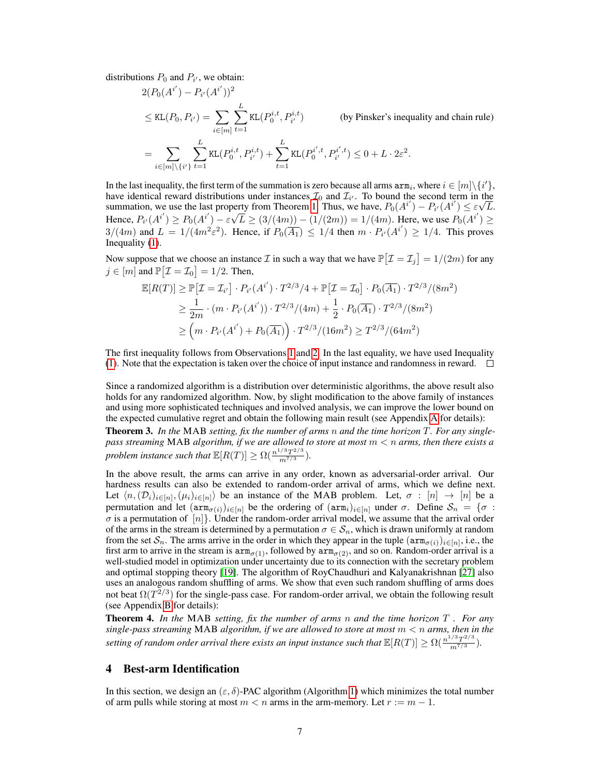distributions  $P_0$  and  $P_{i'}$ , we obtain:

$$
2(P_0(A^{i'}) - P_{i'}(A^{i'}))^2
$$
  
\n
$$
\leq \text{KL}(P_0, P_{i'}) = \sum_{i \in [m]} \sum_{t=1}^L \text{KL}(P_0^{i,t}, P_{i'}^{i,t})
$$
 (by Pinsker's inequality and chain rule)  
\n
$$
= \sum_{i \in [m] \setminus \{i'\}} \sum_{t=1}^L \text{KL}(P_0^{i,t}, P_{i'}^{i,t}) + \sum_{t=1}^L \text{KL}(P_0^{i',t}, P_{i'}^{i',t}) \leq 0 + L \cdot 2\varepsilon^2.
$$

In the last inequality, the first term of the summation is zero because all arms  $arm_i$ , where  $i \in [m] \setminus \{i'\}$ , have identical reward distributions under instances  $\mathcal{I}_0$  and  $\mathcal{I}_{i'}$ . To bound the second term in the summation, we use the last property from Theorem [1.](#page-4-2) Thus, we have,  $P_0(A^{i'}) - P_{i'}(A^{i'}) \leq \varepsilon \sqrt{L}$ . Hence,  $P_{i'}(A^{i'}) \ge P_0(A^{i'}) - \varepsilon \sqrt{L} \ge (3/(4m)) - (1/(2m)) = 1/(4m)$ . Here, we use  $P_0(A^{i'}) \ge$  $3/(4m)$  and  $L = 1/(4m^2\varepsilon^2)$ . Hence, if  $P_0(\overline{A_1}) \leq 1/4$  then  $m \cdot P_{i'}(A^{i'}) \geq 1/4$ . This proves Inequality [\(1\)](#page-5-0).

Now suppose that we choose an instance  $\mathcal I$  in such a way that we have  $\mathbb P\big[\mathcal I = \mathcal I_j\big] = 1/(2m)$  for any  $j \in [m]$  and  $\mathbb{P}[\mathcal{I} = \mathcal{I}_0] = 1/2$ . Then,

$$
\mathbb{E}[R(T)] \geq \mathbb{P}[{\mathcal{I}} = {\mathcal{I}}_{i'}] \cdot P_{i'}(A^{i'}) \cdot T^{2/3}/4 + \mathbb{P}[{\mathcal{I}} = {\mathcal{I}}_0] \cdot P_0(\overline{A_1}) \cdot T^{2/3}/(8m^2)
$$
  
\n
$$
\geq \frac{1}{2m} \cdot (m \cdot P_{i'}(A^{i'})) \cdot T^{2/3}/(4m) + \frac{1}{2} \cdot P_0(\overline{A_1}) \cdot T^{2/3}/(8m^2)
$$
  
\n
$$
\geq (m \cdot P_{i'}(A^{i'}) + P_0(\overline{A_1})) \cdot T^{2/3}/(16m^2) \geq T^{2/3}/(64m^2)
$$

The first inequality follows from Observations [1](#page-5-1) and [2.](#page-5-2) In the last equality, we have used Inequality [\(1\)](#page-5-0). Note that the expectation is taken over the choice of input instance and randomness in reward.  $\square$ 

Since a randomized algorithm is a distribution over deterministic algorithms, the above result also holds for any randomized algorithm. Now, by slight modification to the above family of instances and using more sophisticated techniques and involved analysis, we can improve the lower bound on the expected cumulative regret and obtain the following main result (see Appendix A for details):

Theorem 3. *In the* MAB *setting, fix the number of arms* n *and the time horizon* T*. For any singlepass streaming* MAB *algorithm, if we are allowed to store at most* m < n *arms, then there exists a problem instance such that*  $\mathbb{E}[R(T)] \ge \Omega(\frac{n^{1/3}T^{2/3}}{m^{7/3}})$ *.* 

In the above result, the arms can arrive in any order, known as adversarial-order arrival. Our hardness results can also be extended to random-order arrival of arms, which we define next. Let  $\langle n,(\mathcal{D}_i)_{i\in[n]},(\mu_i)_{i\in[n]}\rangle$  be an instance of the MAB problem. Let,  $\sigma:[n]\to[n]$  be a permutation and let  $(\text{arm}_{\sigma(i)})_{i\in[n]}$  be the ordering of  $(\text{arm}_i)_{i\in[n]}$  under  $\sigma$ . Define  $\mathcal{S}_n = \{\sigma :$  $\sigma$  is a permutation of  $[n]$ . Under the random-order arrival model, we assume that the arrival order of the arms in the stream is determined by a permutation  $\sigma \in S_n$ , which is drawn uniformly at random from the set  $S_n$ . The arms arrive in the order in which they appear in the tuple  $(\text{arm}_{\sigma(i)})_{i \in [n]}$ , i.e., the first arm to arrive in the stream is  $arm_{\sigma(1)}$ , followed by  $arm_{\sigma(2)}$ , and so on. Random-order arrival is a well-studied model in optimization under uncertainty due to its connection with the secretary problem and optimal stopping theory [\[19\]](#page-10-18). The algorithm of RoyChaudhuri and Kalyanakrishnan [\[27\]](#page-11-7) also uses an analogous random shuffling of arms. We show that even such random shuffling of arms does not beat  $\Omega(T^{2/3})$  for the single-pass case. For random-order arrival, we obtain the following result (see Appendix B for details):

Theorem 4. *In the* MAB *setting, fix the number of arms* n *and the time horizon* T *. For any single-pass streaming* MAB *algorithm, if we are allowed to store at most* m < n *arms, then in the* setting of random order arrival there exists an input instance such that  $\mathbb{E}[R(T)] \ge \Omega(\frac{n^{1/3}T^{2/3}}{m^{7/3}})$ .

# <span id="page-6-0"></span>4 Best-arm Identification

In this section, we design an  $(\varepsilon, \delta)$ -PAC algorithm (Algorithm [1\)](#page-7-0) which minimizes the total number of arm pulls while storing at most  $m < n$  arms in the arm-memory. Let  $r := m - 1$ .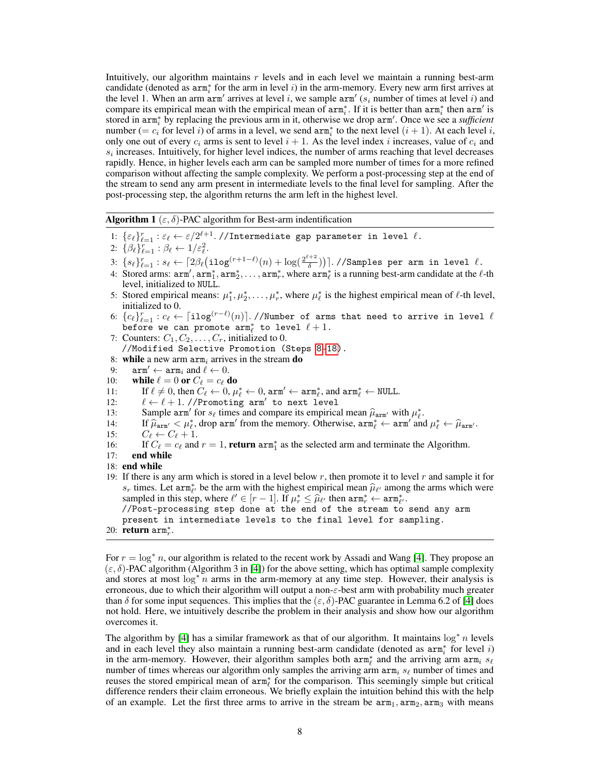Intuitively, our algorithm maintains  $r$  levels and in each level we maintain a running best-arm candidate (denoted as  $arm_i^*$  for the arm in level i) in the arm-memory. Every new arm first arrives at the level 1. When an arm  $arm'$  arrives at level i, we sample  $arm'$  ( $s_i$  number of times at level i) and compare its empirical mean with the empirical mean of  $arm_i^*$ . If it is better than  $arm_i^*$  then  $arm_i'$  is stored in arm<sub>i</sub><sup>\*</sup> by replacing the previous arm in it, otherwise we drop arm'. Once we see a *sufficient* number (=  $c_i$  for level i) of arms in a level, we send  $arm_i^*$  to the next level  $(i + 1)$ . At each level i, only one out of every  $c_i$  arms is sent to level  $i + 1$ . As the level index i increases, value of  $c_i$  and  $s_i$  increases. Intuitively, for higher level indices, the number of arms reaching that level decreases rapidly. Hence, in higher levels each arm can be sampled more number of times for a more refined comparison without affecting the sample complexity. We perform a post-processing step at the end of the stream to send any arm present in intermediate levels to the final level for sampling. After the post-processing step, the algorithm returns the arm left in the highest level.

<span id="page-7-0"></span>**Algorithm 1** ( $\varepsilon$ ,  $\delta$ )-PAC algorithm for Best-arm indentification

- 1:  $\{\varepsilon_\ell\}_{\ell=1}^r : \varepsilon_\ell \leftarrow \varepsilon/2^{\ell+1}$ .//Intermediate gap parameter in level  $\ell$ .
- 2:  $\{\beta_{\ell}\}_{\ell=1}^r : \beta_{\ell} \leftarrow 1/\varepsilon_{\ell}^2.$
- 3:  $\{s_\ell\}_{\ell=1}^r : s_\ell \leftarrow \lceil 2\beta_\ell \bigl(\texttt{ilog}^{(r+1-\ell)}(n) + \log(\frac{2^{\ell+2}}{\delta})\bigr) \bigr)$  $\left( \frac{1}{\delta} \right)$ )].//Samples per arm in level  $\ell$ .
- 4: Stored arms:  $arm'_1, arm_1^*, arm_2^*, \ldots, arm_r^*$ , where  $arm_\ell^*$  is a running best-arm candidate at the  $\ell$ -th level, initialized to NULL.
- 5: Stored empirical means:  $\mu_1^*, \mu_2^*, \dots, \mu_r^*$ , where  $\mu_\ell^*$  is the highest empirical mean of  $\ell$ -th level, initialized to 0.
- 6:  $\{c_\ell\}_{\ell=1}^r : c_\ell \gets \lceil \texttt{ilog}^{(r-\ell)}(n) \rceil$ .//Number of arms that need to arrive in level  $\ell$ before we can promote  $arm_{\ell}^*$  to level  $\ell + 1$ .
- <span id="page-7-1"></span>7: Counters:  $C_1, C_2, \ldots, C_r$ , initialized to 0. //Modified Selective Promotion (Steps [8-](#page-7-1)[18\)](#page-7-2).
- 8: while a new arm  $arm_i$  arrives in the stream do<br>9:  $arm_i \leftarrow arm_i$  and  $\ell \leftarrow 0$ .
- $arm' \leftarrow arm_i$  and  $\ell \leftarrow 0$ .
- 10: while  $\ell = 0$  or  $C_{\ell} = c_{\ell}$  do
- 11: If  $\ell \neq 0$ , then  $C_{\ell} \leftarrow 0$ ,  $\mu_{\ell}^* \leftarrow 0$ , arm'  $\leftarrow$  arm $_{\ell}^*$ , and arm $_{\ell}^* \leftarrow$  NULL.
- 12:  $\ell \leftarrow \ell + 1$ . //Promoting arm' to next level
- 13: Sample  $\text{arm}'$  for  $s_\ell$  times and compare its empirical mean  $\hat{\mu}_{\text{arm}'}$  with  $\mu_\ell^*$ .<br>14: If  $\hat{\mu}$ ,  $\leq \mu^*$  drop arm' from the memory Otherwise  $\text{arm}^* \leftarrow \text{arm}'$  and
- 14: If  $\hat{\mu}_{\text{arm'}} < \mu_{\ell}^*$ , drop arm' from the memory. Otherwise,  $\text{arm}_{\ell}^* \leftarrow \text{arm}'$  and  $\mu_{\ell}^* \leftarrow \hat{\mu}_{\text{arm'}}$ .
- 15:  $C_{\ell} \leftarrow C_{\ell} + 1.$
- 16: If  $C_\ell = c_\ell$  and  $r = 1$ , **return** arm<sup>\*</sup> as the selected arm and terminate the Algorithm.
- 17: end while
- <span id="page-7-3"></span><span id="page-7-2"></span>18: end while
- 19: If there is any arm which is stored in a level below  $r$ , then promote it to level  $r$  and sample it for  $s_r$  times. Let arm<sup>∗</sup><sub>*t*</sub> be the arm with the highest empirical mean  $\hat{\mu}_{\ell'}$  among the arms which were sampled in this step, where  $\ell' \in [r-1]$ . If  $\mu^* \leq \hat{\mu}_{\ell'}$  then arm<sup>∗</sup>  $\leftarrow$  arm<sup>∗</sup>. sampled in this step, where  $\ell' \in [r-1]$ . If  $\mu_r^* \leq \hat{\mu}_{\ell'}$  then  $\operatorname{arm}_r^* \leftarrow \operatorname{arm}_{\ell'}^*$ .<br>  $\ell$ /Post-processing step done at the end of the stream to //Post-processing step done at the end of the stream to send any arm
	- present in intermediate levels to the final level for sampling.
- 20: **return**  $arm_r^*$ .

For  $r = \log^* n$ , our algorithm is related to the recent work by Assadi and Wang [\[4\]](#page-10-9). They propose an  $(\varepsilon, \delta)$ -PAC algorithm (Algorithm 3 in [\[4\]](#page-10-9)) for the above setting, which has optimal sample complexity and stores at most  $\log^* n$  arms in the arm-memory at any time step. However, their analysis is erroneous, due to which their algorithm will output a non-ε-best arm with probability much greater than  $\delta$  for some input sequences. This implies that the  $(\varepsilon, \delta)$ -PAC guarantee in Lemma 6.2 of [\[4\]](#page-10-9) does not hold. Here, we intuitively describe the problem in their analysis and show how our algorithm overcomes it.

The algorithm by [\[4\]](#page-10-9) has a similar framework as that of our algorithm. It maintains  $\log^* n$  levels and in each level they also maintain a running best-arm candidate (denoted as  $arm_i^*$  for level i) in the arm-memory. However, their algorithm samples both  $arm^*_{\ell}$  and the arriving arm  $arm_i$  s<sub> $\ell$ </sub> number of times whereas our algorithm only samples the arriving arm  $arm_i$   $s_\ell$  number of times and reuses the stored empirical mean of  $arm^*_{\ell}$  for the comparison. This seemingly simple but critical difference renders their claim erroneous. We briefly explain the intuition behind this with the help of an example. Let the first three arms to arrive in the stream be  $arm_1, arm_2, arm_3$  with means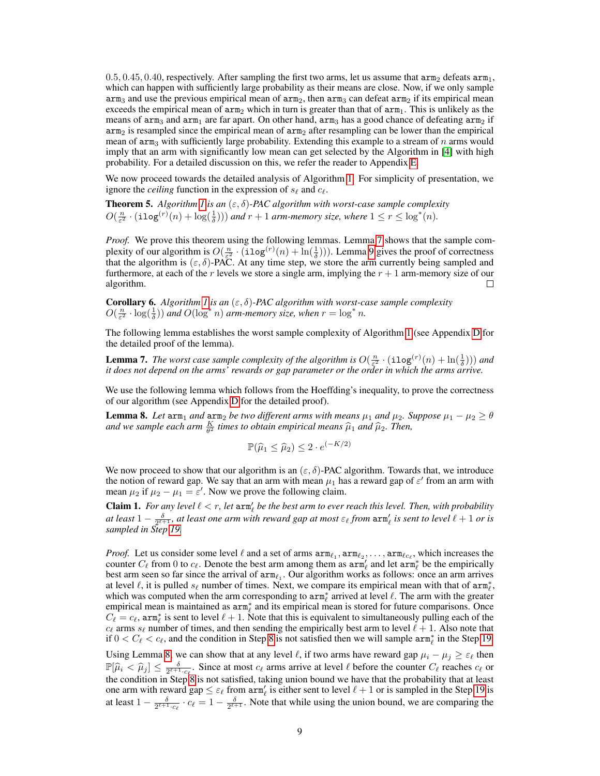$0.5, 0.45, 0.40$ , respectively. After sampling the first two arms, let us assume that  $arm_2$  defeats  $arm_1$ , which can happen with sufficiently large probability as their means are close. Now, if we only sample  $\text{arm}_3$  and use the previous empirical mean of  $\text{arm}_2$ , then  $\text{arm}_3$  can defeat  $\text{arm}_2$  if its empirical mean exceeds the empirical mean of  $arm_2$  which in turn is greater than that of  $arm_1$ . This is unlikely as the means of  $\Delta r m_3$  and  $\Delta r m_1$  are far apart. On other hand,  $\Delta r m_3$  has a good chance of defeating  $\Delta r m_2$  if  $arm<sub>2</sub>$  is resampled since the empirical mean of  $arm<sub>2</sub>$  after resampling can be lower than the empirical mean of  $\text{arm}_3$  with sufficiently large probability. Extending this example to a stream of n arms would imply that an arm with significantly low mean can get selected by the Algorithm in [\[4\]](#page-10-9) with high probability. For a detailed discussion on this, we refer the reader to Appendix E.

We now proceed towards the detailed analysis of Algorithm [1.](#page-7-0) For simplicity of presentation, we ignore the *ceiling* function in the expression of  $s_\ell$  and  $c_\ell$ .

**Theorem 5.** Algorithm [1](#page-7-0) is an  $(\varepsilon, \delta)$ -PAC algorithm with worst-case sample complexity  $O(\frac{n}{\varepsilon^2} \cdot (\texttt{ilog}^{(r)}(n) + \log(\frac{1}{\delta})))$  and  $r + 1$  arm-memory size, where  $1 \leq r \leq \log^*(n)$ .

*Proof.* We prove this theorem using the following lemmas. Lemma [7](#page-8-0) shows that the sample complexity of our algorithm is  $O(\frac{n}{\epsilon^2} \cdot (\texttt{ilog}^{(r)}(n) + \ln(\frac{1}{\delta})))$ . Lemma [9](#page-9-0) gives the proof of correctness that the algorithm is  $(\varepsilon, \delta)$ -PAC. At any time step, we store the arm currently being sampled and furthermore, at each of the r levels we store a single arm, implying the  $r + 1$  arm-memory size of our algorithm.  $\Box$ 

**Corollary 6.** *Algorithm [1](#page-7-0) is an*  $(\varepsilon, \delta)$ -PAC algorithm with worst-case sample complexity  $O(\frac{n}{\varepsilon^2} \cdot \log(\frac{1}{\delta}))$  and  $O(\log^* n)$  arm-memory size, when  $r = \log^* n$ .

The following lemma establishes the worst sample complexity of Algorithm [1](#page-7-0) (see Appendix D for the detailed proof of the lemma).

<span id="page-8-0"></span>**Lemma 7.** *The worst case sample complexity of the algorithm is*  $O(\frac{n}{\epsilon^2} \cdot (\texttt{ilog}^{(r)}(n) + \ln(\frac{1}{\delta})))$  *and it does not depend on the arms' rewards or gap parameter or the order in which the arms arrive.*

We use the following lemma which follows from the Hoeffding's inequality, to prove the correctness of our algorithm (see Appendix D for the detailed proof).

<span id="page-8-1"></span>**Lemma 8.** Let  $\text{arm}_1$  and  $\text{arm}_2$  be two different arms with means  $\mu_1$  and  $\mu_2$ . Suppose  $\mu_1 - \mu_2 \ge \theta$ and we sample each arm  $\frac{K}{\theta^2}$  times to obtain empirical means  $\widehat{\mu}_1$  and  $\widehat{\mu}_2$ . Then,

$$
\mathbb{P}(\widehat{\mu}_1 \le \widehat{\mu}_2) \le 2 \cdot e^{(-K/2)}
$$

We now proceed to show that our algorithm is an ( $\varepsilon$ ,  $\delta$ )-PAC algorithm. Towards that, we introduce the notion of reward gap. We say that an arm with mean  $\mu_1$  has a reward gap of  $\varepsilon'$  from an arm with mean  $\mu_2$  if  $\mu_2 - \mu_1 = \varepsilon'$ . Now we prove the following claim.

<span id="page-8-2"></span>**Claim 1.** For any level  $\ell < r$ , let  $arm_{\ell}$  be the best arm to ever reach this level. Then, with probability *at least*  $1 - \frac{\delta}{2^{\ell+1}}$ , *at least one arm with reward gap at most*  $\varepsilon_\ell$  *from*  $\text{arm}'_\ell$  *is sent to level*  $\ell + 1$  *or is sampled in Step [19.](#page-7-3)*

*Proof.* Let us consider some level  $\ell$  and a set of arms  $arm_{\ell_1}, arm_{\ell_2}, \ldots, arm_{\ell_{C_\ell}}$ , which increases the counter  $C_\ell$  from 0 to  $c_\ell$ . Denote the best arm among them as  $arm'_\ell$  and let  $arm^*_{\ell}$  be the empirically best arm seen so far since the arrival of  $arm_{\ell_1}$ . Our algorithm works as follows: once an arm arrives at level  $\ell$ , it is pulled  $s_{\ell}$  number of times. Next, we compare its empirical mean with that of  $arm_{\ell}^{*}$ , which was computed when the arm corresponding to  $arm^*_{\ell}$  arrived at level  $\ell$ . The arm with the greater empirical mean is maintained as  $arm^*_{\ell}$  and its empirical mean is stored for future comparisons. Once  $C_\ell = c_\ell$ , arm<sub> $\ell$ </sub> is sent to level  $\ell + 1$ . Note that this is equivalent to simultaneously pulling each of the  $c_\ell$  arms  $s_\ell$  number of times, and then sending the empirically best arm to level  $\ell + 1$ . Also note that if  $0 < C_\ell < c_\ell$ , and the condition in Step [8](#page-7-1) is not satisfied then we will sample  $\text{arm}_\ell^*$  in the Step [19.](#page-7-3)

Using Lemma [8,](#page-8-1) we can show that at any level  $\ell$ , if two arms have reward gap  $\mu_i - \mu_j \ge \varepsilon_\ell$  then  $\mathbb{P}[\hat{\mu}_i < \hat{\mu}_j] \leq \frac{\delta}{2^{\ell+1} \cdot c}$ . Since at most  $c_\ell$  arms arrive at level  $\ell$  before the counter  $C_\ell$  reaches  $c_\ell$  or the condition in Stape is not satisfied, taking union bound we have that the probability t the condition in Step [8](#page-7-1) is not satisfied, taking union bound we have that the probability that at least one arm with reward gap  $\leq \varepsilon_\ell$  from  $\text{arm}'_\ell$  is either sent to level  $\ell + 1$  or is sampled in the Step [19](#page-7-3) is at least  $1 - \frac{\delta}{2^{\ell+1} \cdot c_{\ell}} \cdot c_{\ell} = 1 - \frac{\delta}{2^{\ell+1}}$ . Note that while using the union bound, we are comparing the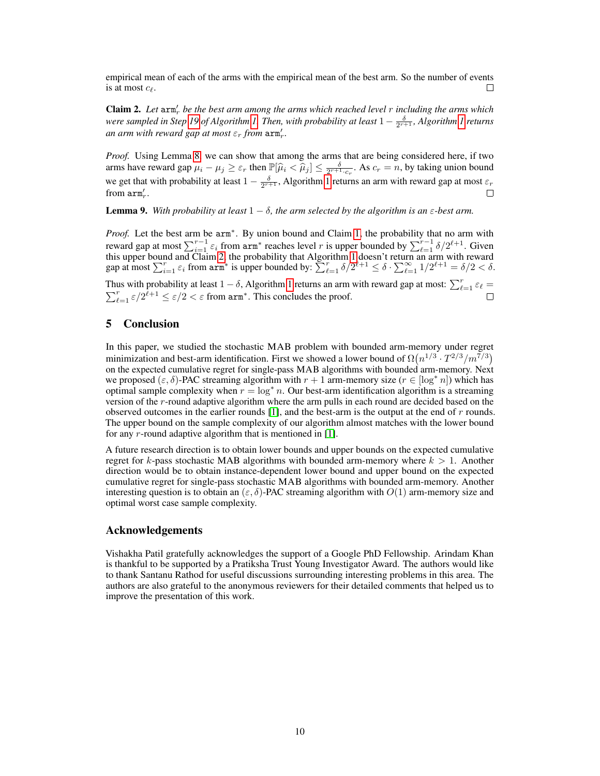empirical mean of each of the arms with the empirical mean of the best arm. So the number of events is at most  $c_{\ell}$ . П

<span id="page-9-1"></span>Claim 2. Let  $\text{arm}'_r$  be the best arm among the arms which reached level r including the arms which were sampled in Step [19](#page-7-3) of Algorithm [1.](#page-7-0) Then, with probability at least  $1-\frac{\delta}{2^{r+1}}$ , Algorithm [1](#page-7-0) returns *an arm with reward gap at most*  $\varepsilon_r$  *from*  $\text{arm}'_r$ *.* 

*Proof.* Using Lemma [8,](#page-8-1) we can show that among the arms that are being considered here, if two arms have reward gap  $\mu_i - \mu_j \ge \varepsilon_r$  then  $\mathbb{P}[\widehat{\mu}_i < \widehat{\mu}_j] \le \frac{\delta}{2^{r+1} \cdot c_r}$ . As  $c_r = n$ , by taking union bound we get that with probability at least  $1 - \frac{\delta}{2^{r+1}}$ , Algorithm [1](#page-7-0) returns an arm with reward gap at most  $\varepsilon_r$ from  $arm'_r$ .  $\Box$ 

<span id="page-9-0"></span>**Lemma 9.** *With probability at least*  $1 - \delta$ *, the arm selected by the algorithm is an*  $\varepsilon$ *-best arm.* 

*Proof.* Let the best arm be  $a$ rm<sup>∗</sup>. By union bound and Claim [1,](#page-8-2) the probability that no arm with reward gap at most  $\sum_{i=1}^{r-1} \varepsilon_i$  from  $arm^*$  reaches level r is upper bounded by  $\sum_{\ell=1}^{r-1} \delta/2^{\ell+1}$ . Given this upper bound and Claim [2,](#page-9-1) the probability that Algorithm [1](#page-7-0) doesn't return an arm with reward gap at most  $\sum_{i=1}^r \varepsilon_i$  from  $\text{arm}^*$  is upper bounded by:  $\sum_{\ell=1}^r \delta/2^{\ell+1} \leq \delta \cdot \sum_{\ell=1}^\infty 1/2^{\ell+1} = \delta/2 < \delta$ .

Thus with probability at least  $1 - \delta$ , Algorithm [1](#page-7-0) returns an arm with reward gap at most:  $\sum_{\ell=1}^r \varepsilon_\ell =$  $\sum_{\ell=1}^r \varepsilon/2^{\tilde{\ell}+1} \leq \varepsilon/2 < \varepsilon$  from arm<sup>\*</sup>. This concludes the proof.

# 5 Conclusion

In this paper, we studied the stochastic MAB problem with bounded arm-memory under regret minimization and best-arm identification. First we showed a lower bound of  $\Omega(n^{1/3} \cdot T^{2/3}/m^{7/3})$ on the expected cumulative regret for single-pass MAB algorithms with bounded arm-memory. Next we proposed ( $\varepsilon$ ,  $\delta$ )-PAC streaming algorithm with  $r + 1$  arm-memory size ( $r \in [\log^* n]$ ) which has optimal sample complexity when  $r = \log^* n$ . Our best-arm identification algorithm is a streaming version of the r-round adaptive algorithm where the arm pulls in each round are decided based on the observed outcomes in the earlier rounds  $[1]$ , and the best-arm is the output at the end of r rounds. The upper bound on the sample complexity of our algorithm almost matches with the lower bound for any  $r$ -round adaptive algorithm that is mentioned in [\[1\]](#page-10-19).

A future research direction is to obtain lower bounds and upper bounds on the expected cumulative regret for k-pass stochastic MAB algorithms with bounded arm-memory where  $k > 1$ . Another direction would be to obtain instance-dependent lower bound and upper bound on the expected cumulative regret for single-pass stochastic MAB algorithms with bounded arm-memory. Another interesting question is to obtain an  $(\varepsilon, \delta)$ -PAC streaming algorithm with  $O(1)$  arm-memory size and optimal worst case sample complexity.

## Acknowledgements

Vishakha Patil gratefully acknowledges the support of a Google PhD Fellowship. Arindam Khan is thankful to be supported by a Pratiksha Trust Young Investigator Award. The authors would like to thank Santanu Rathod for useful discussions surrounding interesting problems in this area. The authors are also grateful to the anonymous reviewers for their detailed comments that helped us to improve the presentation of this work.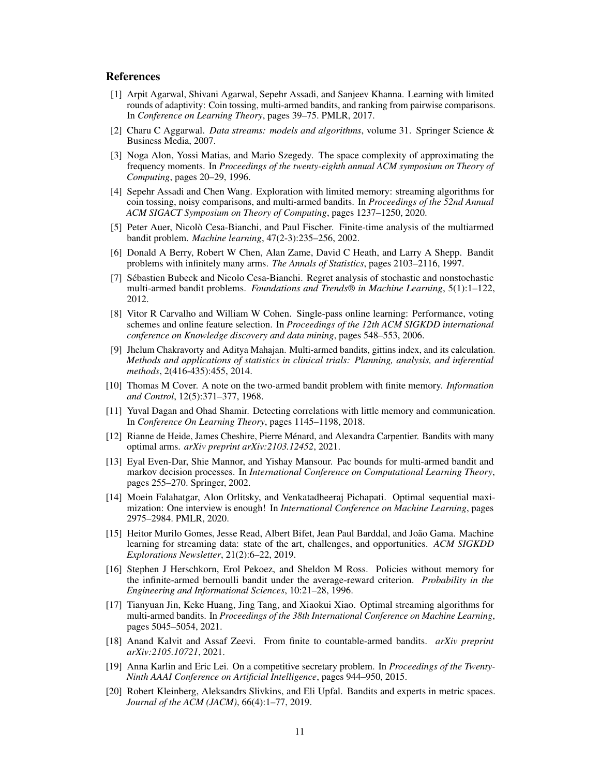### References

- <span id="page-10-19"></span>[1] Arpit Agarwal, Shivani Agarwal, Sepehr Assadi, and Sanjeev Khanna. Learning with limited rounds of adaptivity: Coin tossing, multi-armed bandits, and ranking from pairwise comparisons. In *Conference on Learning Theory*, pages 39–75. PMLR, 2017.
- <span id="page-10-6"></span>[2] Charu C Aggarwal. *Data streams: models and algorithms*, volume 31. Springer Science & Business Media, 2007.
- <span id="page-10-5"></span>[3] Noga Alon, Yossi Matias, and Mario Szegedy. The space complexity of approximating the frequency moments. In *Proceedings of the twenty-eighth annual ACM symposium on Theory of Computing*, pages 20–29, 1996.
- <span id="page-10-9"></span>[4] Sepehr Assadi and Chen Wang. Exploration with limited memory: streaming algorithms for coin tossing, noisy comparisons, and multi-armed bandits. In *Proceedings of the 52nd Annual ACM SIGACT Symposium on Theory of Computing*, pages 1237–1250, 2020.
- <span id="page-10-10"></span>[5] Peter Auer, Nicolò Cesa-Bianchi, and Paul Fischer. Finite-time analysis of the multiarmed bandit problem. *Machine learning*, 47(2-3):235–256, 2002.
- <span id="page-10-2"></span>[6] Donald A Berry, Robert W Chen, Alan Zame, David C Heath, and Larry A Shepp. Bandit problems with infinitely many arms. *The Annals of Statistics*, pages 2103–2116, 1997.
- <span id="page-10-0"></span>[7] Sébastien Bubeck and Nicolo Cesa-Bianchi. Regret analysis of stochastic and nonstochastic multi-armed bandit problems. *Foundations and Trends® in Machine Learning*, 5(1):1–122, 2012.
- <span id="page-10-12"></span>[8] Vitor R Carvalho and William W Cohen. Single-pass online learning: Performance, voting schemes and online feature selection. In *Proceedings of the 12th ACM SIGKDD international conference on Knowledge discovery and data mining*, pages 548–553, 2006.
- <span id="page-10-1"></span>[9] Jhelum Chakravorty and Aditya Mahajan. Multi-armed bandits, gittins index, and its calculation. *Methods and applications of statistics in clinical trials: Planning, analysis, and inferential methods*, 2(416-435):455, 2014.
- <span id="page-10-13"></span>[10] Thomas M Cover. A note on the two-armed bandit problem with finite memory. *Information and Control*, 12(5):371–377, 1968.
- <span id="page-10-7"></span>[11] Yuval Dagan and Ohad Shamir. Detecting correlations with little memory and communication. In *Conference On Learning Theory*, pages 1145–1198, 2018.
- <span id="page-10-15"></span>[12] Rianne de Heide, James Cheshire, Pierre Ménard, and Alexandra Carpentier. Bandits with many optimal arms. *arXiv preprint arXiv:2103.12452*, 2021.
- <span id="page-10-11"></span>[13] Eyal Even-Dar, Shie Mannor, and Yishay Mansour. Pac bounds for multi-armed bandit and markov decision processes. In *International Conference on Computational Learning Theory*, pages 255–270. Springer, 2002.
- <span id="page-10-16"></span>[14] Moein Falahatgar, Alon Orlitsky, and Venkatadheeraj Pichapati. Optimal sequential maximization: One interview is enough! In *International Conference on Machine Learning*, pages 2975–2984. PMLR, 2020.
- <span id="page-10-8"></span>[15] Heitor Murilo Gomes, Jesse Read, Albert Bifet, Jean Paul Barddal, and João Gama. Machine learning for streaming data: state of the art, challenges, and opportunities. *ACM SIGKDD Explorations Newsletter*, 21(2):6–22, 2019.
- <span id="page-10-3"></span>[16] Stephen J Herschkorn, Erol Pekoez, and Sheldon M Ross. Policies without memory for the infinite-armed bernoulli bandit under the average-reward criterion. *Probability in the Engineering and Informational Sciences*, 10:21–28, 1996.
- <span id="page-10-17"></span>[17] Tianyuan Jin, Keke Huang, Jing Tang, and Xiaokui Xiao. Optimal streaming algorithms for multi-armed bandits. In *Proceedings of the 38th International Conference on Machine Learning*, pages 5045–5054, 2021.
- <span id="page-10-14"></span>[18] Anand Kalvit and Assaf Zeevi. From finite to countable-armed bandits. *arXiv preprint arXiv:2105.10721*, 2021.
- <span id="page-10-18"></span>[19] Anna Karlin and Eric Lei. On a competitive secretary problem. In *Proceedings of the Twenty-Ninth AAAI Conference on Artificial Intelligence*, pages 944–950, 2015.
- <span id="page-10-4"></span>[20] Robert Kleinberg, Aleksandrs Slivkins, and Eli Upfal. Bandits and experts in metric spaces. *Journal of the ACM (JACM)*, 66(4):1–77, 2019.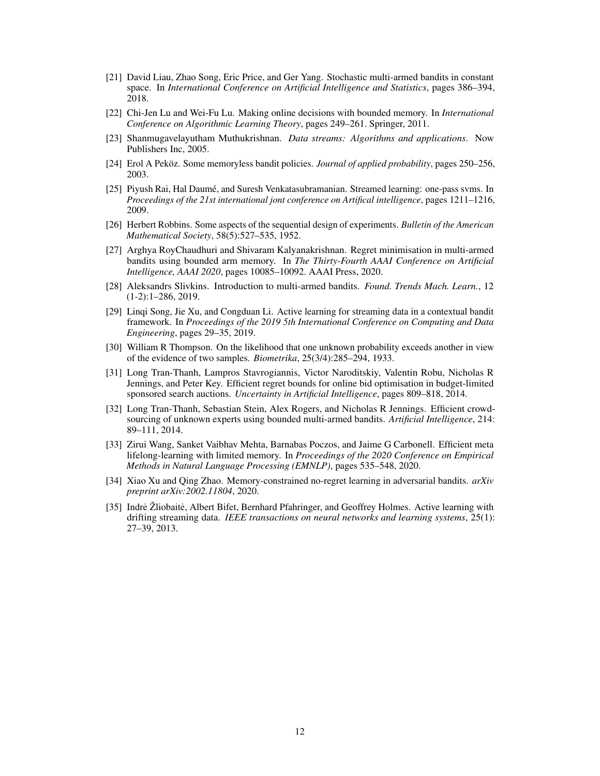- <span id="page-11-8"></span>[21] David Liau, Zhao Song, Eric Price, and Ger Yang. Stochastic multi-armed bandits in constant space. In *International Conference on Artificial Intelligence and Statistics*, pages 386–394, 2018.
- <span id="page-11-11"></span>[22] Chi-Jen Lu and Wei-Fu Lu. Making online decisions with bounded memory. In *International Conference on Algorithmic Learning Theory*, pages 249–261. Springer, 2011.
- <span id="page-11-3"></span>[23] Shanmugavelayutham Muthukrishnan. *Data streams: Algorithms and applications*. Now Publishers Inc, 2005.
- <span id="page-11-12"></span>[24] Erol A Peköz. Some memoryless bandit policies. *Journal of applied probability*, pages 250–256, 2003.
- <span id="page-11-10"></span>[25] Piyush Rai, Hal Daumé, and Suresh Venkatasubramanian. Streamed learning: one-pass svms. In *Proceedings of the 21st international jont conference on Artifical intelligence*, pages 1211–1216, 2009.
- <span id="page-11-0"></span>[26] Herbert Robbins. Some aspects of the sequential design of experiments. *Bulletin of the American Mathematical Society*, 58(5):527–535, 1952.
- <span id="page-11-7"></span>[27] Arghya RoyChaudhuri and Shivaram Kalyanakrishnan. Regret minimisation in multi-armed bandits using bounded arm memory. In *The Thirty-Fourth AAAI Conference on Artificial Intelligence, AAAI 2020*, pages 10085–10092. AAAI Press, 2020.
- <span id="page-11-14"></span>[28] Aleksandrs Slivkins. Introduction to multi-armed bandits. *Found. Trends Mach. Learn.*, 12 (1-2):1–286, 2019.
- <span id="page-11-5"></span>[29] Linqi Song, Jie Xu, and Congduan Li. Active learning for streaming data in a contextual bandit framework. In *Proceedings of the 2019 5th International Conference on Computing and Data Engineering*, pages 29–35, 2019.
- <span id="page-11-9"></span>[30] William R Thompson. On the likelihood that one unknown probability exceeds another in view of the evidence of two samples. *Biometrika*, 25(3/4):285–294, 1933.
- <span id="page-11-1"></span>[31] Long Tran-Thanh, Lampros Stavrogiannis, Victor Naroditskiy, Valentin Robu, Nicholas R Jennings, and Peter Key. Efficient regret bounds for online bid optimisation in budget-limited sponsored search auctions. *Uncertainty in Artificial Intelligence*, pages 809–818, 2014.
- <span id="page-11-2"></span>[32] Long Tran-Thanh, Sebastian Stein, Alex Rogers, and Nicholas R Jennings. Efficient crowdsourcing of unknown experts using bounded multi-armed bandits. *Artificial Intelligence*, 214: 89–111, 2014.
- <span id="page-11-6"></span>[33] Zirui Wang, Sanket Vaibhav Mehta, Barnabas Poczos, and Jaime G Carbonell. Efficient meta lifelong-learning with limited memory. In *Proceedings of the 2020 Conference on Empirical Methods in Natural Language Processing (EMNLP)*, pages 535–548, 2020.
- <span id="page-11-13"></span>[34] Xiao Xu and Qing Zhao. Memory-constrained no-regret learning in adversarial bandits. *arXiv preprint arXiv:2002.11804*, 2020.
- <span id="page-11-4"></span>[35] Indre Žliobaitė, Albert Bifet, Bernhard Pfahringer, and Geoffrey Holmes. Active learning with drifting streaming data. *IEEE transactions on neural networks and learning systems*, 25(1): 27–39, 2013.